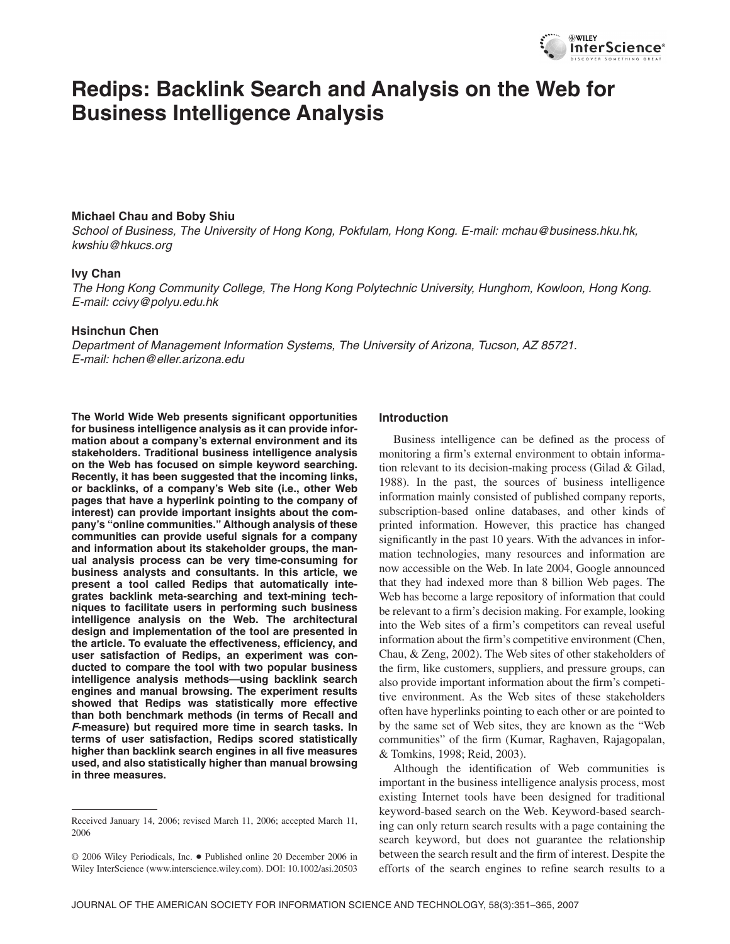

# **Redips: Backlink Search and Analysis on the Web for Business Intelligence Analysis**

## **Michael Chau and Boby Shiu**

*School of Business, The University of Hong Kong, Pokfulam, Hong Kong. E-mail: mchau@business.hku.hk, kwshiu@hkucs.org*

# **Ivy Chan**

*The Hong Kong Community College, The Hong Kong Polytechnic University, Hunghom, Kowloon, Hong Kong. E-mail: ccivy@polyu.edu.hk*

## **Hsinchun Chen**

*Department of Management Information Systems, The University of Arizona, Tucson, AZ 85721. E-mail: hchen@eller.arizona.edu*

**The World Wide Web presents significant opportunities for business intelligence analysis as it can provide information about a company's external environment and its stakeholders. Traditional business intelligence analysis on the Web has focused on simple keyword searching. Recently, it has been suggested that the incoming links, or backlinks, of a company's Web site (i.e., other Web pages that have a hyperlink pointing to the company of interest) can provide important insights about the company's "online communities." Although analysis of these communities can provide useful signals for a company and information about its stakeholder groups, the manual analysis process can be very time-consuming for business analysts and consultants. In this article, we present a tool called Redips that automatically integrates backlink meta-searching and text-mining techniques to facilitate users in performing such business intelligence analysis on the Web. The architectural design and implementation of the tool are presented in the article. To evaluate the effectiveness, efficiency, and user satisfaction of Redips, an experiment was conducted to compare the tool with two popular business intelligence analysis methods—using backlink search engines and manual browsing. The experiment results showed that Redips was statistically more effective than both benchmark methods (in terms of Recall and**  *F***-measure) but required more time in search tasks. In terms of user satisfaction, Redips scored statistically higher than backlink search engines in all five measures used, and also statistically higher than manual browsing in three measures.**

## **Introduction**

Business intelligence can be defined as the process of monitoring a firm's external environment to obtain information relevant to its decision-making process (Gilad & Gilad, 1988). In the past, the sources of business intelligence information mainly consisted of published company reports, subscription-based online databases, and other kinds of printed information. However, this practice has changed significantly in the past 10 years. With the advances in information technologies, many resources and information are now accessible on the Web. In late 2004, Google announced that they had indexed more than 8 billion Web pages. The Web has become a large repository of information that could be relevant to a firm's decision making. For example, looking into the Web sites of a firm's competitors can reveal useful information about the firm's competitive environment (Chen, Chau, & Zeng, 2002). The Web sites of other stakeholders of the firm, like customers, suppliers, and pressure groups, can also provide important information about the firm's competitive environment. As the Web sites of these stakeholders often have hyperlinks pointing to each other or are pointed to by the same set of Web sites, they are known as the "Web communities" of the firm (Kumar, Raghaven, Rajagopalan, & Tomkins, 1998; Reid, 2003).

Although the identification of Web communities is important in the business intelligence analysis process, most existing Internet tools have been designed for traditional keyword-based search on the Web. Keyword-based searching can only return search results with a page containing the search keyword, but does not guarantee the relationship between the search result and the firm of interest. Despite the efforts of the search engines to refine search results to a

Received January 14, 2006; revised March 11, 2006; accepted March 11, 2006

<sup>©</sup> 2006 Wiley Periodicals, Inc. • Published online 20 December 2006 in Wiley InterScience (www.interscience.wiley.com). DOI: 10.1002/asi.20503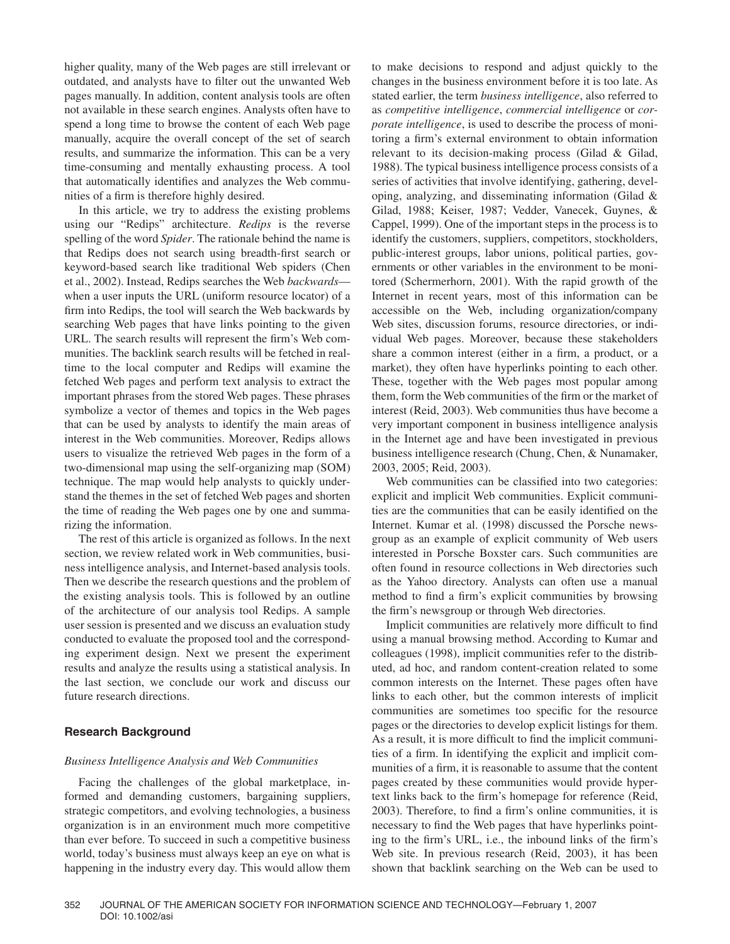higher quality, many of the Web pages are still irrelevant or outdated, and analysts have to filter out the unwanted Web pages manually. In addition, content analysis tools are often not available in these search engines. Analysts often have to spend a long time to browse the content of each Web page manually, acquire the overall concept of the set of search results, and summarize the information. This can be a very time-consuming and mentally exhausting process. A tool that automatically identifies and analyzes the Web communities of a firm is therefore highly desired.

In this article, we try to address the existing problems using our "Redips" architecture. *Redips* is the reverse spelling of the word *Spider*. The rationale behind the name is that Redips does not search using breadth-first search or keyword-based search like traditional Web spiders (Chen et al., 2002). Instead, Redips searches the Web *backwards* when a user inputs the URL (uniform resource locator) of a firm into Redips, the tool will search the Web backwards by searching Web pages that have links pointing to the given URL. The search results will represent the firm's Web communities. The backlink search results will be fetched in realtime to the local computer and Redips will examine the fetched Web pages and perform text analysis to extract the important phrases from the stored Web pages. These phrases symbolize a vector of themes and topics in the Web pages that can be used by analysts to identify the main areas of interest in the Web communities. Moreover, Redips allows users to visualize the retrieved Web pages in the form of a two-dimensional map using the self-organizing map (SOM) technique. The map would help analysts to quickly understand the themes in the set of fetched Web pages and shorten the time of reading the Web pages one by one and summarizing the information.

The rest of this article is organized as follows. In the next section, we review related work in Web communities, business intelligence analysis, and Internet-based analysis tools. Then we describe the research questions and the problem of the existing analysis tools. This is followed by an outline of the architecture of our analysis tool Redips. A sample user session is presented and we discuss an evaluation study conducted to evaluate the proposed tool and the corresponding experiment design. Next we present the experiment results and analyze the results using a statistical analysis. In the last section, we conclude our work and discuss our future research directions.

## **Research Background**

## *Business Intelligence Analysis and Web Communities*

Facing the challenges of the global marketplace, informed and demanding customers, bargaining suppliers, strategic competitors, and evolving technologies, a business organization is in an environment much more competitive than ever before. To succeed in such a competitive business world, today's business must always keep an eye on what is happening in the industry every day. This would allow them to make decisions to respond and adjust quickly to the changes in the business environment before it is too late. As stated earlier, the term *business intelligence*, also referred to as *competitive intelligence*, *commercial intelligence* or *corporate intelligence*, is used to describe the process of monitoring a firm's external environment to obtain information relevant to its decision-making process (Gilad & Gilad, 1988). The typical business intelligence process consists of a series of activities that involve identifying, gathering, developing, analyzing, and disseminating information (Gilad & Gilad, 1988; Keiser, 1987; Vedder, Vanecek, Guynes, & Cappel, 1999). One of the important steps in the process is to identify the customers, suppliers, competitors, stockholders, public-interest groups, labor unions, political parties, governments or other variables in the environment to be monitored (Schermerhorn, 2001). With the rapid growth of the Internet in recent years, most of this information can be accessible on the Web, including organization/company Web sites, discussion forums, resource directories, or individual Web pages. Moreover, because these stakeholders share a common interest (either in a firm, a product, or a market), they often have hyperlinks pointing to each other. These, together with the Web pages most popular among them, form the Web communities of the firm or the market of interest (Reid, 2003). Web communities thus have become a very important component in business intelligence analysis in the Internet age and have been investigated in previous business intelligence research (Chung, Chen, & Nunamaker, 2003, 2005; Reid, 2003).

Web communities can be classified into two categories: explicit and implicit Web communities. Explicit communities are the communities that can be easily identified on the Internet. Kumar et al. (1998) discussed the Porsche newsgroup as an example of explicit community of Web users interested in Porsche Boxster cars. Such communities are often found in resource collections in Web directories such as the Yahoo directory. Analysts can often use a manual method to find a firm's explicit communities by browsing the firm's newsgroup or through Web directories.

Implicit communities are relatively more difficult to find using a manual browsing method. According to Kumar and colleagues (1998), implicit communities refer to the distributed, ad hoc, and random content-creation related to some common interests on the Internet. These pages often have links to each other, but the common interests of implicit communities are sometimes too specific for the resource pages or the directories to develop explicit listings for them. As a result, it is more difficult to find the implicit communities of a firm. In identifying the explicit and implicit communities of a firm, it is reasonable to assume that the content pages created by these communities would provide hypertext links back to the firm's homepage for reference (Reid, 2003). Therefore, to find a firm's online communities, it is necessary to find the Web pages that have hyperlinks pointing to the firm's URL, i.e., the inbound links of the firm's Web site. In previous research (Reid, 2003), it has been shown that backlink searching on the Web can be used to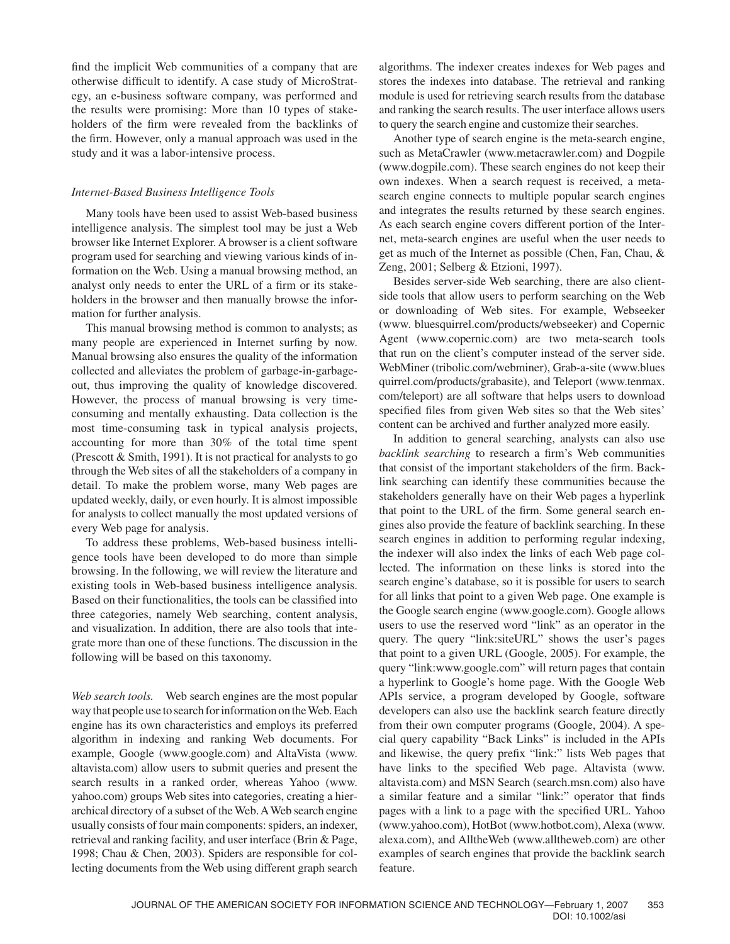find the implicit Web communities of a company that are otherwise difficult to identify. A case study of MicroStrategy, an e-business software company, was performed and the results were promising: More than 10 types of stakeholders of the firm were revealed from the backlinks of the firm. However, only a manual approach was used in the study and it was a labor-intensive process.

## *Internet-Based Business Intelligence Tools*

Many tools have been used to assist Web-based business intelligence analysis. The simplest tool may be just a Web browser like Internet Explorer. A browser is a client software program used for searching and viewing various kinds of information on the Web. Using a manual browsing method, an analyst only needs to enter the URL of a firm or its stakeholders in the browser and then manually browse the information for further analysis.

This manual browsing method is common to analysts; as many people are experienced in Internet surfing by now. Manual browsing also ensures the quality of the information collected and alleviates the problem of garbage-in-garbageout, thus improving the quality of knowledge discovered. However, the process of manual browsing is very timeconsuming and mentally exhausting. Data collection is the most time-consuming task in typical analysis projects, accounting for more than 30% of the total time spent (Prescott & Smith, 1991). It is not practical for analysts to go through the Web sites of all the stakeholders of a company in detail. To make the problem worse, many Web pages are updated weekly, daily, or even hourly. It is almost impossible for analysts to collect manually the most updated versions of every Web page for analysis.

To address these problems, Web-based business intelligence tools have been developed to do more than simple browsing. In the following, we will review the literature and existing tools in Web-based business intelligence analysis. Based on their functionalities, the tools can be classified into three categories, namely Web searching, content analysis, and visualization. In addition, there are also tools that integrate more than one of these functions. The discussion in the following will be based on this taxonomy.

*Web search tools.* Web search engines are the most popular way that people use to search for information on the Web. Each engine has its own characteristics and employs its preferred algorithm in indexing and ranking Web documents. For example, Google (www.google.com) and AltaVista (www. altavista.com) allow users to submit queries and present the search results in a ranked order, whereas Yahoo (www. yahoo.com) groups Web sites into categories, creating a hierarchical directory of a subset of the Web.AWeb search engine usually consists of four main components: spiders, an indexer, retrieval and ranking facility, and user interface (Brin & Page, 1998; Chau & Chen, 2003). Spiders are responsible for collecting documents from the Web using different graph search

algorithms. The indexer creates indexes for Web pages and stores the indexes into database. The retrieval and ranking module is used for retrieving search results from the database and ranking the search results. The user interface allows users to query the search engine and customize their searches.

Another type of search engine is the meta-search engine, such as MetaCrawler (www.metacrawler.com) and Dogpile (www.dogpile.com). These search engines do not keep their own indexes. When a search request is received, a metasearch engine connects to multiple popular search engines and integrates the results returned by these search engines. As each search engine covers different portion of the Internet, meta-search engines are useful when the user needs to get as much of the Internet as possible (Chen, Fan, Chau, & Zeng, 2001; Selberg & Etzioni, 1997).

Besides server-side Web searching, there are also clientside tools that allow users to perform searching on the Web or downloading of Web sites. For example, Webseeker (www. bluesquirrel.com/products/webseeker) and Copernic Agent (www.copernic.com) are two meta-search tools that run on the client's computer instead of the server side. WebMiner (tribolic.com/webminer), Grab-a-site (www.blues quirrel.com/products/grabasite), and Teleport (www.tenmax. com/teleport) are all software that helps users to download specified files from given Web sites so that the Web sites' content can be archived and further analyzed more easily.

In addition to general searching, analysts can also use *backlink searching* to research a firm's Web communities that consist of the important stakeholders of the firm. Backlink searching can identify these communities because the stakeholders generally have on their Web pages a hyperlink that point to the URL of the firm. Some general search engines also provide the feature of backlink searching. In these search engines in addition to performing regular indexing, the indexer will also index the links of each Web page collected. The information on these links is stored into the search engine's database, so it is possible for users to search for all links that point to a given Web page. One example is the Google search engine (www.google.com). Google allows users to use the reserved word "link" as an operator in the query. The query "link:siteURL" shows the user's pages that point to a given URL (Google, 2005). For example, the query "link:www.google.com" will return pages that contain a hyperlink to Google's home page. With the Google Web APIs service, a program developed by Google, software developers can also use the backlink search feature directly from their own computer programs (Google, 2004). A special query capability "Back Links" is included in the APIs and likewise, the query prefix "link:" lists Web pages that have links to the specified Web page. Altavista (www. altavista.com) and MSN Search (search.msn.com) also have a similar feature and a similar "link:" operator that finds pages with a link to a page with the specified URL. Yahoo (www.yahoo.com), HotBot (www.hotbot.com), Alexa (www. alexa.com), and AlltheWeb (www.alltheweb.com) are other examples of search engines that provide the backlink search feature.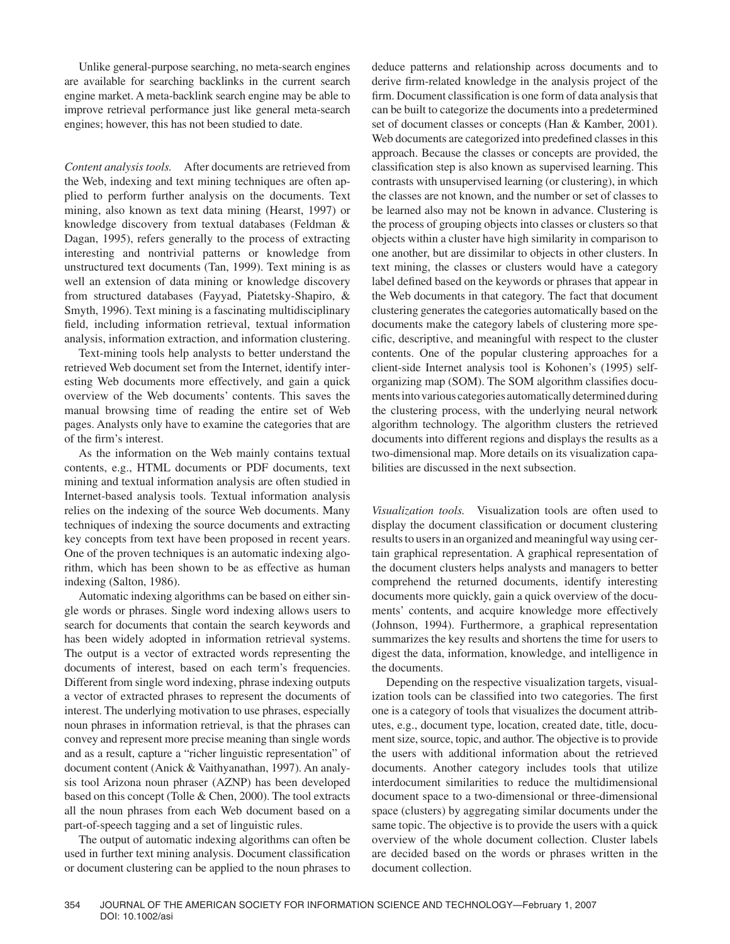Unlike general-purpose searching, no meta-search engines are available for searching backlinks in the current search engine market. A meta-backlink search engine may be able to improve retrieval performance just like general meta-search engines; however, this has not been studied to date.

*Content analysis tools.* After documents are retrieved from the Web, indexing and text mining techniques are often applied to perform further analysis on the documents. Text mining, also known as text data mining (Hearst, 1997) or knowledge discovery from textual databases (Feldman & Dagan, 1995), refers generally to the process of extracting interesting and nontrivial patterns or knowledge from unstructured text documents (Tan, 1999). Text mining is as well an extension of data mining or knowledge discovery from structured databases (Fayyad, Piatetsky-Shapiro, & Smyth, 1996). Text mining is a fascinating multidisciplinary field, including information retrieval, textual information analysis, information extraction, and information clustering.

Text-mining tools help analysts to better understand the retrieved Web document set from the Internet, identify interesting Web documents more effectively, and gain a quick overview of the Web documents' contents. This saves the manual browsing time of reading the entire set of Web pages. Analysts only have to examine the categories that are of the firm's interest.

As the information on the Web mainly contains textual contents, e.g., HTML documents or PDF documents, text mining and textual information analysis are often studied in Internet-based analysis tools. Textual information analysis relies on the indexing of the source Web documents. Many techniques of indexing the source documents and extracting key concepts from text have been proposed in recent years. One of the proven techniques is an automatic indexing algorithm, which has been shown to be as effective as human indexing (Salton, 1986).

Automatic indexing algorithms can be based on either single words or phrases. Single word indexing allows users to search for documents that contain the search keywords and has been widely adopted in information retrieval systems. The output is a vector of extracted words representing the documents of interest, based on each term's frequencies. Different from single word indexing, phrase indexing outputs a vector of extracted phrases to represent the documents of interest. The underlying motivation to use phrases, especially noun phrases in information retrieval, is that the phrases can convey and represent more precise meaning than single words and as a result, capture a "richer linguistic representation" of document content (Anick & Vaithyanathan, 1997). An analysis tool Arizona noun phraser (AZNP) has been developed based on this concept (Tolle & Chen, 2000). The tool extracts all the noun phrases from each Web document based on a part-of-speech tagging and a set of linguistic rules.

The output of automatic indexing algorithms can often be used in further text mining analysis. Document classification or document clustering can be applied to the noun phrases to deduce patterns and relationship across documents and to derive firm-related knowledge in the analysis project of the firm. Document classification is one form of data analysis that can be built to categorize the documents into a predetermined set of document classes or concepts (Han & Kamber, 2001). Web documents are categorized into predefined classes in this approach. Because the classes or concepts are provided, the classification step is also known as supervised learning. This contrasts with unsupervised learning (or clustering), in which the classes are not known, and the number or set of classes to be learned also may not be known in advance. Clustering is the process of grouping objects into classes or clusters so that objects within a cluster have high similarity in comparison to one another, but are dissimilar to objects in other clusters. In text mining, the classes or clusters would have a category label defined based on the keywords or phrases that appear in the Web documents in that category. The fact that document clustering generates the categories automatically based on the documents make the category labels of clustering more specific, descriptive, and meaningful with respect to the cluster contents. One of the popular clustering approaches for a client-side Internet analysis tool is Kohonen's (1995) selforganizing map (SOM). The SOM algorithm classifies documents into various categories automatically determined during the clustering process, with the underlying neural network algorithm technology. The algorithm clusters the retrieved documents into different regions and displays the results as a two-dimensional map. More details on its visualization capabilities are discussed in the next subsection.

*Visualization tools.* Visualization tools are often used to display the document classification or document clustering results to users in an organized and meaningful way using certain graphical representation. A graphical representation of the document clusters helps analysts and managers to better comprehend the returned documents, identify interesting documents more quickly, gain a quick overview of the documents' contents, and acquire knowledge more effectively (Johnson, 1994). Furthermore, a graphical representation summarizes the key results and shortens the time for users to digest the data, information, knowledge, and intelligence in the documents.

Depending on the respective visualization targets, visualization tools can be classified into two categories. The first one is a category of tools that visualizes the document attributes, e.g., document type, location, created date, title, document size, source, topic, and author. The objective is to provide the users with additional information about the retrieved documents. Another category includes tools that utilize interdocument similarities to reduce the multidimensional document space to a two-dimensional or three-dimensional space (clusters) by aggregating similar documents under the same topic. The objective is to provide the users with a quick overview of the whole document collection. Cluster labels are decided based on the words or phrases written in the document collection.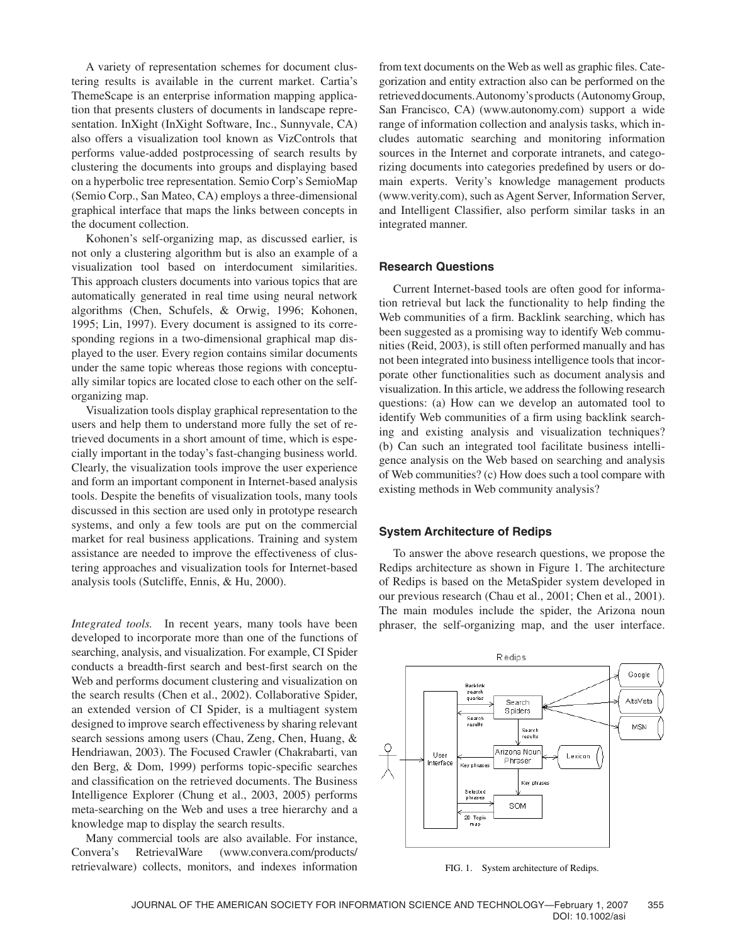A variety of representation schemes for document clustering results is available in the current market. Cartia's ThemeScape is an enterprise information mapping application that presents clusters of documents in landscape representation. InXight (InXight Software, Inc., Sunnyvale, CA) also offers a visualization tool known as VizControls that performs value-added postprocessing of search results by clustering the documents into groups and displaying based on a hyperbolic tree representation. Semio Corp's SemioMap (Semio Corp., San Mateo, CA) employs a three-dimensional graphical interface that maps the links between concepts in the document collection.

Kohonen's self-organizing map, as discussed earlier, is not only a clustering algorithm but is also an example of a visualization tool based on interdocument similarities. This approach clusters documents into various topics that are automatically generated in real time using neural network algorithms (Chen, Schufels, & Orwig, 1996; Kohonen, 1995; Lin, 1997). Every document is assigned to its corresponding regions in a two-dimensional graphical map displayed to the user. Every region contains similar documents under the same topic whereas those regions with conceptually similar topics are located close to each other on the selforganizing map.

Visualization tools display graphical representation to the users and help them to understand more fully the set of retrieved documents in a short amount of time, which is especially important in the today's fast-changing business world. Clearly, the visualization tools improve the user experience and form an important component in Internet-based analysis tools. Despite the benefits of visualization tools, many tools discussed in this section are used only in prototype research systems, and only a few tools are put on the commercial market for real business applications. Training and system assistance are needed to improve the effectiveness of clustering approaches and visualization tools for Internet-based analysis tools (Sutcliffe, Ennis, & Hu, 2000).

*Integrated tools.* In recent years, many tools have been developed to incorporate more than one of the functions of searching, analysis, and visualization. For example, CI Spider conducts a breadth-first search and best-first search on the Web and performs document clustering and visualization on the search results (Chen et al., 2002). Collaborative Spider, an extended version of CI Spider, is a multiagent system designed to improve search effectiveness by sharing relevant search sessions among users (Chau, Zeng, Chen, Huang, & Hendriawan, 2003). The Focused Crawler (Chakrabarti, van den Berg, & Dom, 1999) performs topic-specific searches and classification on the retrieved documents. The Business Intelligence Explorer (Chung et al., 2003, 2005) performs meta-searching on the Web and uses a tree hierarchy and a knowledge map to display the search results.

Many commercial tools are also available. For instance, Convera's RetrievalWare (www.convera.com/products/ retrievalware) collects, monitors, and indexes information

from text documents on the Web as well as graphic files. Categorization and entity extraction also can be performed on the retrieveddocuments.Autonomy'sproducts (AutonomyGroup, San Francisco, CA) (www.autonomy.com) support a wide range of information collection and analysis tasks, which includes automatic searching and monitoring information sources in the Internet and corporate intranets, and categorizing documents into categories predefined by users or domain experts. Verity's knowledge management products (www.verity.com), such as Agent Server, Information Server, and Intelligent Classifier, also perform similar tasks in an integrated manner.

## **Research Questions**

Current Internet-based tools are often good for information retrieval but lack the functionality to help finding the Web communities of a firm. Backlink searching, which has been suggested as a promising way to identify Web communities (Reid, 2003), is still often performed manually and has not been integrated into business intelligence tools that incorporate other functionalities such as document analysis and visualization. In this article, we address the following research questions: (a) How can we develop an automated tool to identify Web communities of a firm using backlink searching and existing analysis and visualization techniques? (b) Can such an integrated tool facilitate business intelligence analysis on the Web based on searching and analysis of Web communities? (c) How does such a tool compare with existing methods in Web community analysis?

## **System Architecture of Redips**

To answer the above research questions, we propose the Redips architecture as shown in Figure 1. The architecture of Redips is based on the MetaSpider system developed in our previous research (Chau et al., 2001; Chen et al., 2001). The main modules include the spider, the Arizona noun phraser, the self-organizing map, and the user interface.



FIG. 1. System architecture of Redips.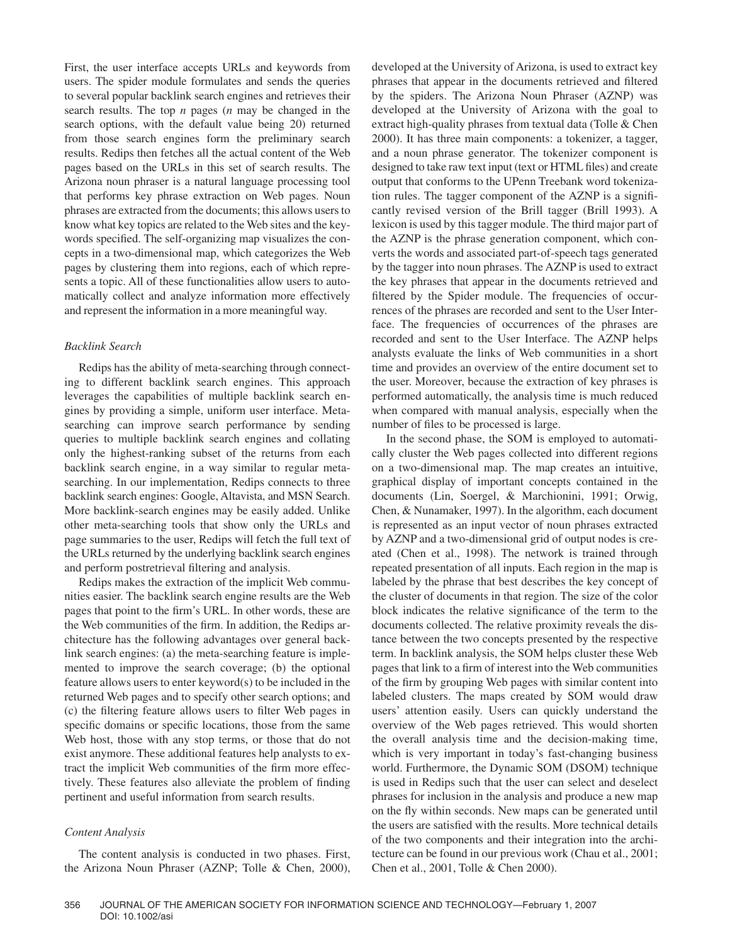First, the user interface accepts URLs and keywords from users. The spider module formulates and sends the queries to several popular backlink search engines and retrieves their search results. The top *n* pages (*n* may be changed in the search options, with the default value being 20) returned from those search engines form the preliminary search results. Redips then fetches all the actual content of the Web pages based on the URLs in this set of search results. The Arizona noun phraser is a natural language processing tool that performs key phrase extraction on Web pages. Noun phrases are extracted from the documents; this allows users to know what key topics are related to the Web sites and the keywords specified. The self-organizing map visualizes the concepts in a two-dimensional map, which categorizes the Web pages by clustering them into regions, each of which represents a topic. All of these functionalities allow users to automatically collect and analyze information more effectively and represent the information in a more meaningful way.

## *Backlink Search*

Redips has the ability of meta-searching through connecting to different backlink search engines. This approach leverages the capabilities of multiple backlink search engines by providing a simple, uniform user interface. Metasearching can improve search performance by sending queries to multiple backlink search engines and collating only the highest-ranking subset of the returns from each backlink search engine, in a way similar to regular metasearching. In our implementation, Redips connects to three backlink search engines: Google, Altavista, and MSN Search. More backlink-search engines may be easily added. Unlike other meta-searching tools that show only the URLs and page summaries to the user, Redips will fetch the full text of the URLs returned by the underlying backlink search engines and perform postretrieval filtering and analysis.

Redips makes the extraction of the implicit Web communities easier. The backlink search engine results are the Web pages that point to the firm's URL. In other words, these are the Web communities of the firm. In addition, the Redips architecture has the following advantages over general backlink search engines: (a) the meta-searching feature is implemented to improve the search coverage; (b) the optional feature allows users to enter keyword(s) to be included in the returned Web pages and to specify other search options; and (c) the filtering feature allows users to filter Web pages in specific domains or specific locations, those from the same Web host, those with any stop terms, or those that do not exist anymore. These additional features help analysts to extract the implicit Web communities of the firm more effectively. These features also alleviate the problem of finding pertinent and useful information from search results.

## *Content Analysis*

The content analysis is conducted in two phases. First, the Arizona Noun Phraser (AZNP; Tolle & Chen, 2000),

developed at the University of Arizona, is used to extract key phrases that appear in the documents retrieved and filtered by the spiders. The Arizona Noun Phraser (AZNP) was developed at the University of Arizona with the goal to extract high-quality phrases from textual data (Tolle & Chen 2000). It has three main components: a tokenizer, a tagger, and a noun phrase generator. The tokenizer component is designed to take raw text input (text or HTML files) and create output that conforms to the UPenn Treebank word tokenization rules. The tagger component of the AZNP is a significantly revised version of the Brill tagger (Brill 1993). A lexicon is used by this tagger module. The third major part of the AZNP is the phrase generation component, which converts the words and associated part-of-speech tags generated by the tagger into noun phrases. The AZNP is used to extract the key phrases that appear in the documents retrieved and filtered by the Spider module. The frequencies of occurrences of the phrases are recorded and sent to the User Interface. The frequencies of occurrences of the phrases are recorded and sent to the User Interface. The AZNP helps analysts evaluate the links of Web communities in a short time and provides an overview of the entire document set to the user. Moreover, because the extraction of key phrases is performed automatically, the analysis time is much reduced when compared with manual analysis, especially when the number of files to be processed is large.

In the second phase, the SOM is employed to automatically cluster the Web pages collected into different regions on a two-dimensional map. The map creates an intuitive, graphical display of important concepts contained in the documents (Lin, Soergel, & Marchionini, 1991; Orwig, Chen, & Nunamaker, 1997). In the algorithm, each document is represented as an input vector of noun phrases extracted by AZNP and a two-dimensional grid of output nodes is created (Chen et al., 1998). The network is trained through repeated presentation of all inputs. Each region in the map is labeled by the phrase that best describes the key concept of the cluster of documents in that region. The size of the color block indicates the relative significance of the term to the documents collected. The relative proximity reveals the distance between the two concepts presented by the respective term. In backlink analysis, the SOM helps cluster these Web pages that link to a firm of interest into the Web communities of the firm by grouping Web pages with similar content into labeled clusters. The maps created by SOM would draw users' attention easily. Users can quickly understand the overview of the Web pages retrieved. This would shorten the overall analysis time and the decision-making time, which is very important in today's fast-changing business world. Furthermore, the Dynamic SOM (DSOM) technique is used in Redips such that the user can select and deselect phrases for inclusion in the analysis and produce a new map on the fly within seconds. New maps can be generated until the users are satisfied with the results. More technical details of the two components and their integration into the architecture can be found in our previous work (Chau et al., 2001; Chen et al., 2001, Tolle & Chen 2000).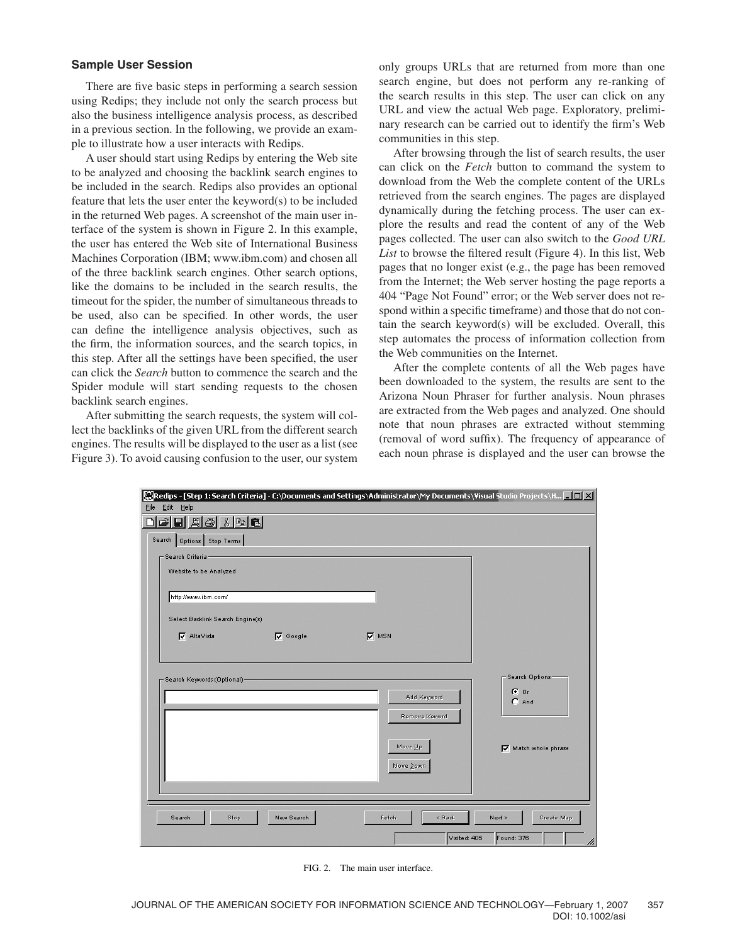## **Sample User Session**

There are five basic steps in performing a search session using Redips; they include not only the search process but also the business intelligence analysis process, as described in a previous section. In the following, we provide an example to illustrate how a user interacts with Redips.

A user should start using Redips by entering the Web site to be analyzed and choosing the backlink search engines to be included in the search. Redips also provides an optional feature that lets the user enter the keyword(s) to be included in the returned Web pages. A screenshot of the main user interface of the system is shown in Figure 2. In this example, the user has entered the Web site of International Business Machines Corporation (IBM; www.ibm.com) and chosen all of the three backlink search engines. Other search options, like the domains to be included in the search results, the timeout for the spider, the number of simultaneous threads to be used, also can be specified. In other words, the user can define the intelligence analysis objectives, such as the firm, the information sources, and the search topics, in this step. After all the settings have been specified, the user can click the *Search* button to commence the search and the Spider module will start sending requests to the chosen backlink search engines.

After submitting the search requests, the system will collect the backlinks of the given URL from the different search engines. The results will be displayed to the user as a list (see Figure 3). To avoid causing confusion to the user, our system

only groups URLs that are returned from more than one search engine, but does not perform any re-ranking of the search results in this step. The user can click on any URL and view the actual Web page. Exploratory, preliminary research can be carried out to identify the firm's Web communities in this step.

After browsing through the list of search results, the user can click on the *Fetch* button to command the system to download from the Web the complete content of the URLs retrieved from the search engines. The pages are displayed dynamically during the fetching process. The user can explore the results and read the content of any of the Web pages collected. The user can also switch to the *Good URL List* to browse the filtered result (Figure 4). In this list, Web pages that no longer exist (e.g., the page has been removed from the Internet; the Web server hosting the page reports a 404 "Page Not Found" error; or the Web server does not respond within a specific timeframe) and those that do not contain the search keyword(s) will be excluded. Overall, this step automates the process of information collection from the Web communities on the Internet.

After the complete contents of all the Web pages have been downloaded to the system, the results are sent to the Arizona Noun Phraser for further analysis. Noun phrases are extracted from the Web pages and analyzed. One should note that noun phrases are extracted without stemming (removal of word suffix). The frequency of appearance of each noun phrase is displayed and the user can browse the

| Redips - [Step 1: Search Criteria] - C:\Documents and Settings\Administrator\My Documents\Visual Studio Projects\H… _ [ $\Box$ $\boxtimes$ |               |                         |
|--------------------------------------------------------------------------------------------------------------------------------------------|---------------|-------------------------|
| Edit Help<br>Eile                                                                                                                          |               |                         |
| <u>cieis spe</u><br>Search   Options   Stop Terms                                                                                          |               |                         |
| -Search Criteria                                                                                                                           |               |                         |
| Website to be Analyzed                                                                                                                     |               |                         |
|                                                                                                                                            |               |                         |
| http://www.ibm.com/                                                                                                                        |               |                         |
| Select Backlink Search Engine(s)                                                                                                           |               |                         |
| $\nabla$ MSN<br>$\nabla$ AltaVista<br>$\nabla$ Google                                                                                      |               |                         |
|                                                                                                                                            |               |                         |
|                                                                                                                                            |               |                         |
| Search Keywords (Optional)-                                                                                                                |               | -Search Options-        |
|                                                                                                                                            | Add Keyword   | $G$ or<br>$C$ And       |
|                                                                                                                                            | Remove Keword |                         |
|                                                                                                                                            |               |                         |
|                                                                                                                                            |               |                         |
|                                                                                                                                            | Move Up       | ╔<br>Match whole phrase |
|                                                                                                                                            | Move Down     |                         |
|                                                                                                                                            |               |                         |
|                                                                                                                                            |               |                         |
| Stop<br>New Search<br>Search<br>Fetch                                                                                                      | < Back        | Next ><br>Create Map    |
|                                                                                                                                            | Visited: 405  | Found: 376<br>h,        |

FIG. 2. The main user interface.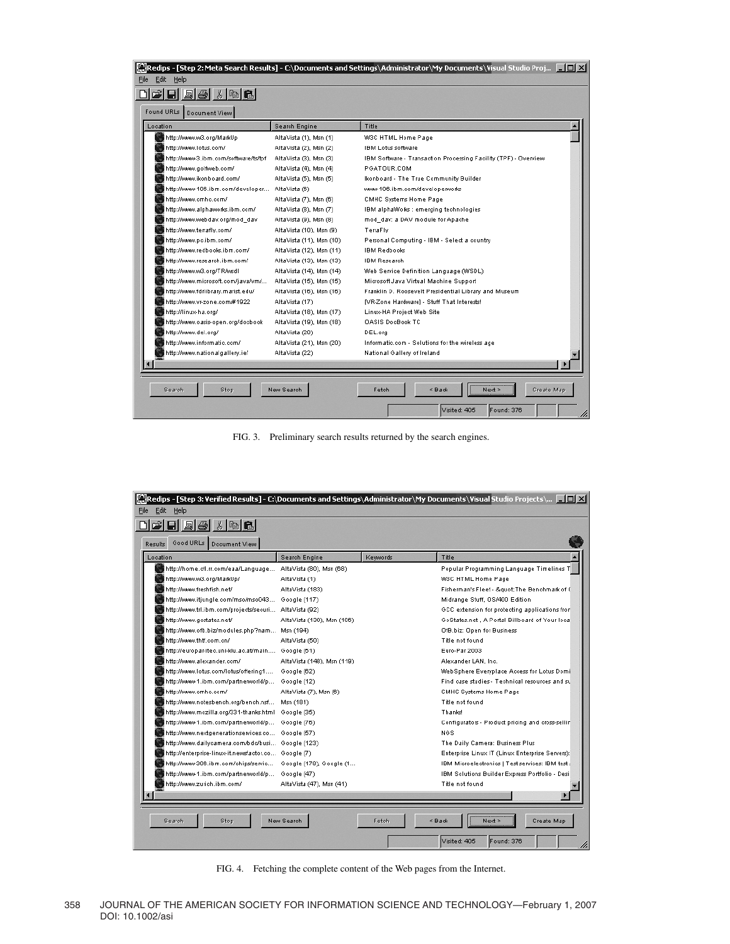| 3 电晶<br>圓<br>圖<br>H                            |                          |                                                                 |
|------------------------------------------------|--------------------------|-----------------------------------------------------------------|
| Found URLs<br>Document View                    |                          |                                                                 |
| Location                                       | Search Engine            | Title                                                           |
| http://www.w3.org/MarkUp                       | AltaVista (1), Msn (1)   | W3C HTML Home Page                                              |
| http://www.lotus.com/                          | AltaVista (2), Msn (2)   | <b>IBM Lotus software</b>                                       |
| http://www-3.ibm.com/software/ts/tpf           | AltaVista (3), Msn (3)   | IBM Software - Transaction Processing Facility (TPF) - Overview |
| http://www.golfweb.com/                        | AltaVista (4), Msn (4)   | PGATOUR.COM                                                     |
| http://www.ikonboard.com/                      | AltaVista (5), Msn (5)   | Ikonboard - The True Community Builder                          |
| http://www-106.ibm.com/developer AltaVista (6) |                          | www.106.ibm.com/developerworks                                  |
| http://www.cmhc.com/                           | AltaVista (7), Msn (6)   | CMHC Systems Home Page                                          |
| http://www.alphaworks.ibm.com/                 | AltaVista (8), Msn (7)   | IBM alphaWorks : emerging technologies                          |
| http://www.webdav.org/mod_dav                  | AltaVista (9), Msn (8)   | mod_dav: a DAV module for Apache                                |
| http://www.terrafly.com/                       | AltaVista (10), Msn (9)  | TerraFlv                                                        |
| http://www.pc.ibm.com/                         | AltaVista (11), Msn (10) | Personal Computing - IBM - Select a country                     |
| http://www.redbooks.ibm.com/                   | AltaVista (12), Msn (11) | <b>IBM Redbooks</b>                                             |
| http://www.research.ibm.com/                   | AltaVista (13), Msn (13) | <b>IBM Research</b>                                             |
| http://www.w3.org/TR/wsdl                      | AltaVista (14), Msn (14) | Web Service Definition Language (WSDL)                          |
| http://www.microsoft.com/java/vm/              | AltaVista (15), Msn (15) | Microsoft Java Virtual Machine Support                          |
| http://www.fdrlibrary.marist.edu/              | AltaVista (16), Msn (16) | Franklin D. Roosevelt Presidential Library and Museum           |
| http://www.vr-zone.com/#1922                   | AltaVista (17)           | [VR-Zone Hardware] - Stuff That Interests!                      |
| http://linux-ha.org/                           | AltaVista (18), Msn (17) | Linux-HA Project Web Site                                       |
| http://www.oasis-open.org/docbook              | AltaVista (19), Msn (18) | <b>OASIS DocBook TC</b>                                         |
| http://www.del.org/                            | AltaVista (20)           | DEL.org                                                         |
| http://www.informatic.com/                     | AltaVista (21), Msn (20) | Informatic.com - Solutions for the wireless age                 |
| http://www.nationalgallery.ie/                 | AltaVista (22)           | National Gallery of Ireland                                     |
|                                                |                          |                                                                 |
|                                                |                          |                                                                 |
| Stop<br>Search                                 | New Search               | < Back<br>Next ><br>Fetch<br>Create Map                         |

FIG. 3. Preliminary search results returned by the search engines.

| Good URLs<br>Document View<br>Results                 |                            |          |                                                  |
|-------------------------------------------------------|----------------------------|----------|--------------------------------------------------|
| Location                                              | Search Engine              | Keywords | <b>Title</b>                                     |
| http://home.cfl.m.com/eaa/Language                    | AltaVista (80), Msn (68)   |          | Popular Programming Language Timelines T         |
| http://www.w3.org/MarkUp/                             | AltaVista (1)              |          | W3C HTML Home Page                               |
| http://www.freshfish.net/                             | AltaVista (183)            |          | Fisherman's Fleet - " The Benchmark of @         |
| http://www.itjungle.com/mso/mso043                    | Google (117)               |          | Midrange Stuff, OS/400 Edition                   |
| http://www.trl.ibm.com/projects/securi AltaVista (92) |                            |          | GCC extension for protecting applications from   |
| http://www.gostates.net/                              | AltaVista (130), Msn (106) |          | GoStates.net, A Portal Billboard of Your local   |
| http://www.ofb.biz/modules.php?nam Msn (194)          |                            |          | OfB.biz: Open for Business                       |
| http://www.thtf.com.cn/                               | AltaVista (50)             |          | Title not found                                  |
| http://europar-itec.uni-klu.ac.at/main Google (51)    |                            |          | Euro-Par 2003                                    |
| http://www.alexander.com/                             | AltaVista (148), Msn (119) |          | Alexander LAN, Inc.                              |
| http://www.lotus.com/lotus/offering1                  | Google (62)                |          | WebSphere Everyplace Access for Lotus Dom        |
| http://www+1.ibm.com/partnerworld/p                   | Google (12)                |          | Find case studies - Technical resources and sub  |
| http://www.cmhc.com/                                  | AltaVista (7), Msn (6)     |          | CMHC Systems Home Page                           |
| http://www.notesbench.org/bench.nsf                   | Msn (181)                  |          | Title not found                                  |
| http://www.mozilla.org/331-thanks.html                | Google (35)                |          | Thanks!                                          |
| http://www-1.ibm.com/partnerworld/p                   | Google (76)                |          | Configurators - Product pricing and cross-sellin |
| http://www.nextgenerationservices.co                  | Google (57)                |          | NGS.                                             |
| http://www.dailycamera.com/bdo/busi                   | Google (123)               |          | The Daily Camera: Business Plus                  |
| http://enterprise-linux-it.newsfactor.co              | Google (7)                 |          | Enterprise Linux IT (Linux Enterprise Servers):  |
| http://www-306.ibm.com/chips/servic                   | Google (178), Google (1    |          | IBM Microelectronics   Test services: IBM test   |
| http://www-1.ibm.com/partnerworld/p                   | Google (47)                |          | IBM Solutions Builder Express Portfolio - Desi   |
| http://www.zurich.ibm.com/                            | AltaVista (47), Msn (41)   |          | Title not found                                  |
|                                                       |                            |          |                                                  |

FIG. 4. Fetching the complete content of the Web pages from the Internet.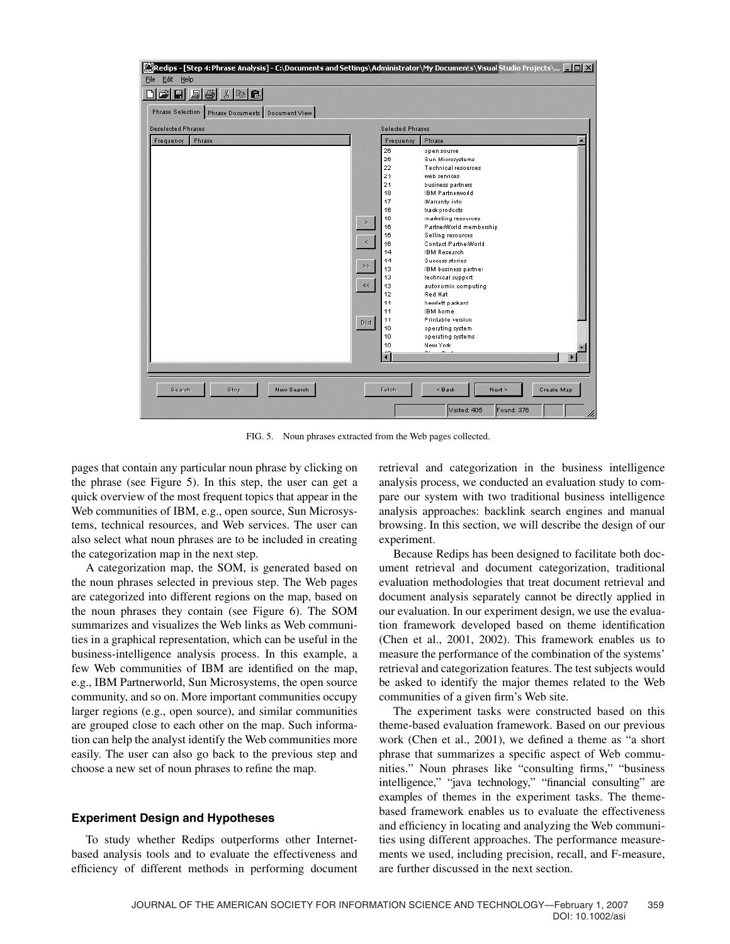| $\Box$ Redips - [Step 4: Phrase Analysis] - C:\Documents and Settings\Administrator\My Documents\Yisual Studio Projects\… $\Box$ $\boxtimes$ |                                             |                                                                                                                                                   |                                                                                                                                                                                                                                                                                                                                                                                                                                                                                                                               |    |
|----------------------------------------------------------------------------------------------------------------------------------------------|---------------------------------------------|---------------------------------------------------------------------------------------------------------------------------------------------------|-------------------------------------------------------------------------------------------------------------------------------------------------------------------------------------------------------------------------------------------------------------------------------------------------------------------------------------------------------------------------------------------------------------------------------------------------------------------------------------------------------------------------------|----|
| Edit Help<br>File                                                                                                                            |                                             |                                                                                                                                                   |                                                                                                                                                                                                                                                                                                                                                                                                                                                                                                                               |    |
| $\blacksquare$ $\blacksquare$ $\clubsuit$<br>$x$ to a<br>اسم<br>Phrase Selection   Phrase Documents   Document View                          |                                             |                                                                                                                                                   |                                                                                                                                                                                                                                                                                                                                                                                                                                                                                                                               |    |
| <b>Deselected Phrases</b>                                                                                                                    |                                             | <b>Selected Phrases</b>                                                                                                                           |                                                                                                                                                                                                                                                                                                                                                                                                                                                                                                                               |    |
| Phrase<br>Frequency                                                                                                                          |                                             | Frequency                                                                                                                                         | Phrase                                                                                                                                                                                                                                                                                                                                                                                                                                                                                                                        |    |
|                                                                                                                                              | $\geq$<br>$\,<$<br>$> >$<br>$\,<\,$<br>Dict | 26<br>26<br>22<br>21<br>21<br>18<br>17<br>16<br>16<br>16<br>16<br>16<br>14<br>14<br>13<br>13<br>13<br>12<br>11<br>11<br>11<br>10<br>10<br>10<br>í | open source<br>Sun Microsystems<br>Technical resources<br>web services<br>business partners<br><b>IBM Partnerworld</b><br>Warranty info<br>track products<br>marketing resources<br>PartnerWorld membership<br>Selling resources<br>Contact PartnerWorld<br>IBM Research<br>Success stories<br>IBM business partner<br>technical support<br>autonomic computing<br>Red Hat<br>hewlett packard<br><b>IBM</b> home<br>Printable version<br>operating system<br>operating systems<br>New York<br>$\sim$ $\sim$<br>$\blacksquare$ |    |
|                                                                                                                                              |                                             |                                                                                                                                                   |                                                                                                                                                                                                                                                                                                                                                                                                                                                                                                                               |    |
| Stop<br>Search<br>New Search                                                                                                                 |                                             | Fetch                                                                                                                                             | < Back<br>Next ><br>Create Map                                                                                                                                                                                                                                                                                                                                                                                                                                                                                                |    |
|                                                                                                                                              |                                             |                                                                                                                                                   | Visited: 405<br>Found: 376                                                                                                                                                                                                                                                                                                                                                                                                                                                                                                    | h, |

FIG. 5. Noun phrases extracted from the Web pages collected.

pages that contain any particular noun phrase by clicking on the phrase (see Figure 5). In this step, the user can get a quick overview of the most frequent topics that appear in the Web communities of IBM, e.g., open source, Sun Microsystems, technical resources, and Web services. The user can also select what noun phrases are to be included in creating the categorization map in the next step.

A categorization map, the SOM, is generated based on the noun phrases selected in previous step. The Web pages are categorized into different regions on the map, based on the noun phrases they contain (see Figure 6). The SOM summarizes and visualizes the Web links as Web communities in a graphical representation, which can be useful in the business-intelligence analysis process. In this example, a few Web communities of IBM are identified on the map, e.g., IBM Partnerworld, Sun Microsystems, the open source community, and so on. More important communities occupy larger regions (e.g., open source), and similar communities are grouped close to each other on the map. Such information can help the analyst identify the Web communities more easily. The user can also go back to the previous step and choose a new set of noun phrases to refine the map.

## **Experiment Design and Hypotheses**

To study whether Redips outperforms other Internetbased analysis tools and to evaluate the effectiveness and efficiency of different methods in performing document

retrieval and categorization in the business intelligence analysis process, we conducted an evaluation study to compare our system with two traditional business intelligence analysis approaches: backlink search engines and manual browsing. In this section, we will describe the design of our experiment.

Because Redips has been designed to facilitate both document retrieval and document categorization, traditional evaluation methodologies that treat document retrieval and document analysis separately cannot be directly applied in our evaluation. In our experiment design, we use the evaluation framework developed based on theme identification (Chen et al., 2001, 2002). This framework enables us to measure the performance of the combination of the systems' retrieval and categorization features. The test subjects would be asked to identify the major themes related to the Web communities of a given firm's Web site.

The experiment tasks were constructed based on this theme-based evaluation framework. Based on our previous work (Chen et al., 2001), we defined a theme as "a short phrase that summarizes a specific aspect of Web communities." Noun phrases like "consulting firms," "business intelligence," "java technology," "financial consulting" are examples of themes in the experiment tasks. The themebased framework enables us to evaluate the effectiveness and efficiency in locating and analyzing the Web communities using different approaches. The performance measurements we used, including precision, recall, and F-measure, are further discussed in the next section.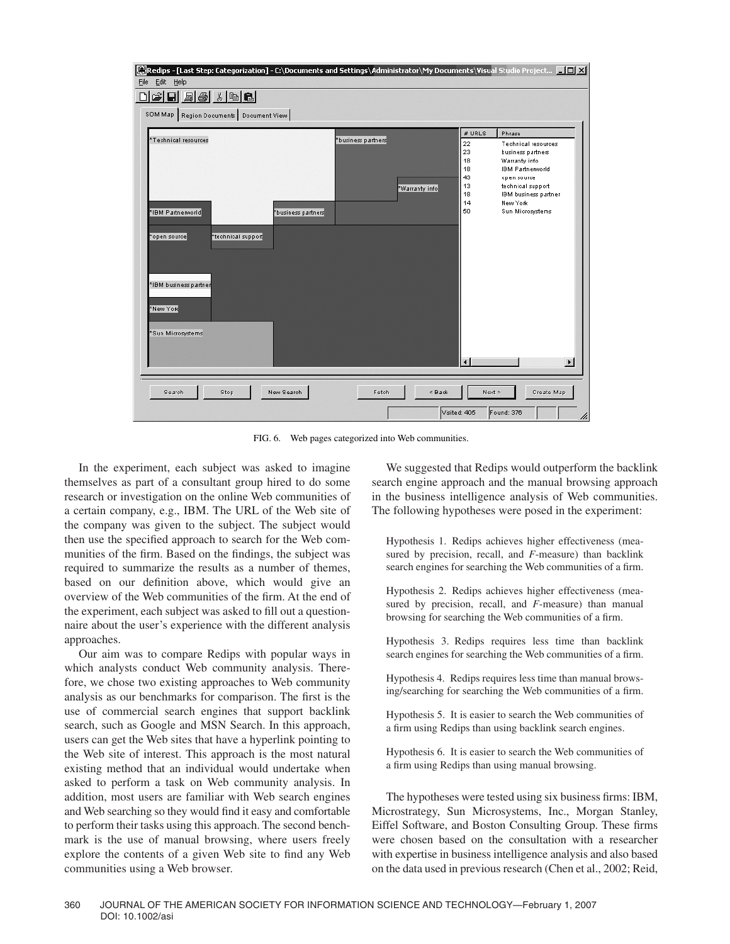| Redips - [Last Step: Categorization] - C:\Documents and Settings\Administrator\My Documents\Visual Studio Project… 口口区 |                    |                           |                                                    |
|------------------------------------------------------------------------------------------------------------------------|--------------------|---------------------------|----------------------------------------------------|
| Edit Help<br>Eile<br><u> 2 E 5 4 X d 6 </u>                                                                            |                    |                           |                                                    |
| SOM Map                                                                                                                |                    |                           |                                                    |
| Region Documents Document View                                                                                         |                    |                           |                                                    |
| Technical resources                                                                                                    | business partners  | # URLS<br>22<br>23        | Phrase<br>Technical resources<br>business partners |
|                                                                                                                        |                    | 18<br>18                  | Warranty info<br>IBM Partnerworld                  |
|                                                                                                                        |                    | 43                        | open source                                        |
|                                                                                                                        |                    | 13<br>Warranty info<br>18 | technical support<br>IBM business partner          |
| *IBM Partnerworld                                                                                                      | *business partners | 14<br>50                  | New York<br>Sun Microsystems                       |
|                                                                                                                        |                    |                           |                                                    |
| 'open source<br>*technical support                                                                                     |                    |                           |                                                    |
|                                                                                                                        |                    |                           |                                                    |
|                                                                                                                        |                    |                           |                                                    |
| *IBM business partner                                                                                                  |                    |                           |                                                    |
| New York                                                                                                               |                    |                           |                                                    |
|                                                                                                                        |                    |                           |                                                    |
| Sun Microsystems                                                                                                       |                    |                           |                                                    |
|                                                                                                                        |                    |                           |                                                    |
|                                                                                                                        |                    | $\overline{\bullet}$      | $\blacktriangleright$                              |
| New Search                                                                                                             |                    |                           |                                                    |
| Search<br>Stop                                                                                                         | Fetch              | < Back<br>Next >          | Create Map                                         |
|                                                                                                                        |                    | Visited: 405              | Found: 376<br>h,                                   |

FIG. 6. Web pages categorized into Web communities.

In the experiment, each subject was asked to imagine themselves as part of a consultant group hired to do some research or investigation on the online Web communities of a certain company, e.g., IBM. The URL of the Web site of the company was given to the subject. The subject would then use the specified approach to search for the Web communities of the firm. Based on the findings, the subject was required to summarize the results as a number of themes, based on our definition above, which would give an overview of the Web communities of the firm. At the end of the experiment, each subject was asked to fill out a questionnaire about the user's experience with the different analysis approaches.

Our aim was to compare Redips with popular ways in which analysts conduct Web community analysis. Therefore, we chose two existing approaches to Web community analysis as our benchmarks for comparison. The first is the use of commercial search engines that support backlink search, such as Google and MSN Search. In this approach, users can get the Web sites that have a hyperlink pointing to the Web site of interest. This approach is the most natural existing method that an individual would undertake when asked to perform a task on Web community analysis. In addition, most users are familiar with Web search engines and Web searching so they would find it easy and comfortable to perform their tasks using this approach. The second benchmark is the use of manual browsing, where users freely explore the contents of a given Web site to find any Web communities using a Web browser.

We suggested that Redips would outperform the backlink search engine approach and the manual browsing approach in the business intelligence analysis of Web communities. The following hypotheses were posed in the experiment:

Hypothesis 1. Redips achieves higher effectiveness (measured by precision, recall, and *F*-measure) than backlink search engines for searching the Web communities of a firm.

Hypothesis 2. Redips achieves higher effectiveness (measured by precision, recall, and *F*-measure) than manual browsing for searching the Web communities of a firm.

Hypothesis 3. Redips requires less time than backlink search engines for searching the Web communities of a firm.

Hypothesis 4. Redips requires less time than manual browsing/searching for searching the Web communities of a firm.

Hypothesis 5. It is easier to search the Web communities of a firm using Redips than using backlink search engines.

Hypothesis 6. It is easier to search the Web communities of a firm using Redips than using manual browsing.

The hypotheses were tested using six business firms: IBM, Microstrategy, Sun Microsystems, Inc., Morgan Stanley, Eiffel Software, and Boston Consulting Group. These firms were chosen based on the consultation with a researcher with expertise in business intelligence analysis and also based on the data used in previous research (Chen et al., 2002; Reid,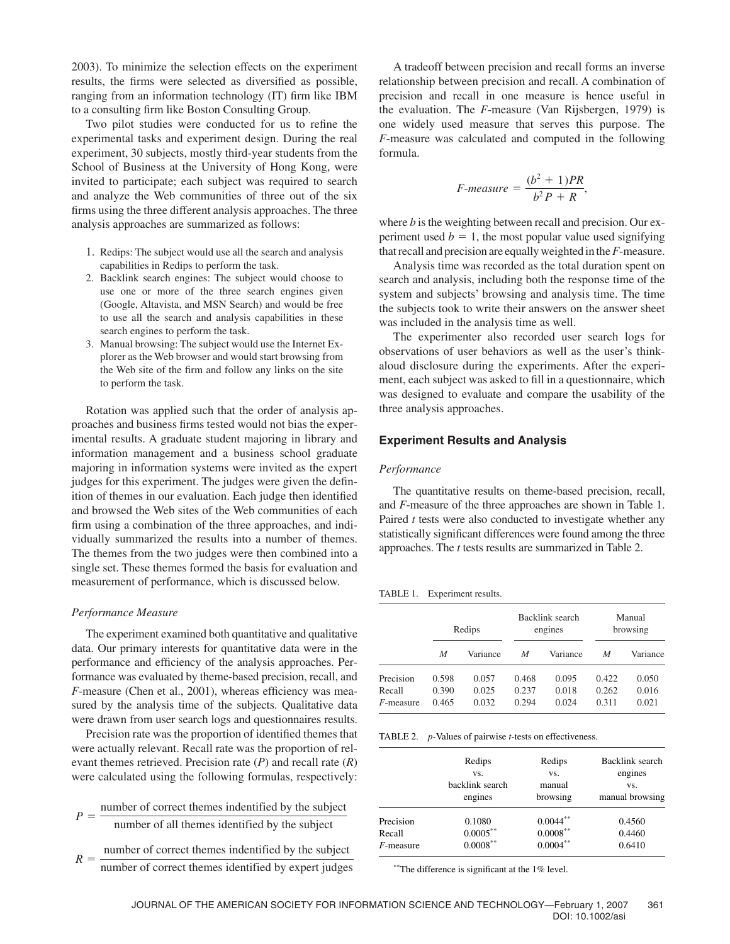2003). To minimize the selection effects on the experiment results, the firms were selected as diversified as possible, ranging from an information technology (IT) firm like IBM to a consulting firm like Boston Consulting Group.

Two pilot studies were conducted for us to refine the experimental tasks and experiment design. During the real experiment, 30 subjects, mostly third-year students from the School of Business at the University of Hong Kong, were invited to participate; each subject was required to search and analyze the Web communities of three out of the six firms using the three different analysis approaches. The three analysis approaches are summarized as follows:

- 1. Redips: The subject would use all the search and analysis capabilities in Redips to perform the task.
- 2. Backlink search engines: The subject would choose to use one or more of the three search engines given (Google, Altavista, and MSN Search) and would be free to use all the search and analysis capabilities in these search engines to perform the task.
- 3. Manual browsing: The subject would use the Internet Explorer as the Web browser and would start browsing from the Web site of the firm and follow any links on the site to perform the task.

Rotation was applied such that the order of analysis approaches and business firms tested would not bias the experimental results. A graduate student majoring in library and information management and a business school graduate majoring in information systems were invited as the expert judges for this experiment. The judges were given the definition of themes in our evaluation. Each judge then identified and browsed the Web sites of the Web communities of each firm using a combination of the three approaches, and individually summarized the results into a number of themes. The themes from the two judges were then combined into a single set. These themes formed the basis for evaluation and measurement of performance, which is discussed below.

## *Performance Measure*

The experiment examined both quantitative and qualitative data. Our primary interests for quantitative data were in the performance and efficiency of the analysis approaches. Performance was evaluated by theme-based precision, recall, and *F*-measure (Chen et al., 2001), whereas efficiency was measured by the analysis time of the subjects. Qualitative data were drawn from user search logs and questionnaires results.

Precision rate was the proportion of identified themes that were actually relevant. Recall rate was the proportion of relevant themes retrieved. Precision rate (*P*) and recall rate (*R*) were calculated using the following formulas, respectively:

- $P =$  <u>number of correct themes indentified</u> by the subject number of all themes identified by the subject
- $R = \frac{\text{number of correct themes indenified by the subject}}{R}$ number of correct themes identified by expert judges

A tradeoff between precision and recall forms an inverse relationship between precision and recall. A combination of precision and recall in one measure is hence useful in the evaluation. The *F*-measure (Van Rijsbergen, 1979) is one widely used measure that serves this purpose. The *F*-measure was calculated and computed in the following formula.

$$
F\text{-}measure = \frac{(b^2 + 1)PR}{b^2 P + R},
$$

where *b* is the weighting between recall and precision. Our experiment used  $b = 1$ , the most popular value used signifying that recall and precision are equally weighted in the*F*-measure.

Analysis time was recorded as the total duration spent on search and analysis, including both the response time of the system and subjects' browsing and analysis time. The time the subjects took to write their answers on the answer sheet was included in the analysis time as well.

The experimenter also recorded user search logs for observations of user behaviors as well as the user's thinkaloud disclosure during the experiments. After the experiment, each subject was asked to fill in a questionnaire, which was designed to evaluate and compare the usability of the three analysis approaches.

## **Experiment Results and Analysis**

## *Performance*

The quantitative results on theme-based precision, recall, and *F*-measure of the three approaches are shown in Table 1. Paired *t* tests were also conducted to investigate whether any statistically significant differences were found among the three approaches. The *t* tests results are summarized in Table 2.

#### TABLE 1. Experiment results.

|              |       | Redips   |       | Backlink search<br>engines | Manual<br>browsing |          |
|--------------|-------|----------|-------|----------------------------|--------------------|----------|
|              | M     | Variance | M     | Variance                   | M                  | Variance |
| Precision    | 0.598 | 0.057    | 0.468 | 0.095                      | 0.422              | 0.050    |
| Recall       | 0.390 | 0.025    | 0.237 | 0.018                      | 0.262              | 0.016    |
| $F$ -measure | 0.465 | 0.032    | 0.294 | 0.024                      | 0.311              | 0.021    |

TABLE 2. *p-*Values of pairwise *t*-tests on effectiveness.

|              | Redips          | Redips                            | Backlink search |
|--------------|-----------------|-----------------------------------|-----------------|
|              | VS.             | VS.                               | engines         |
|              | backlink search | manual                            | VS.             |
|              | engines         | browsing                          | manual browsing |
| Precision    | 0.1080          | $0.0044**$                        | 0.4560          |
| Recall       | $0.0005***$     | $0.0008\ensuremath{^{**}}\xspace$ | 0.4460          |
| $F$ -measure | $0.0008***$     | $0.0004**$                        | 0.6410          |

\*\*The difference is significant at the 1% level.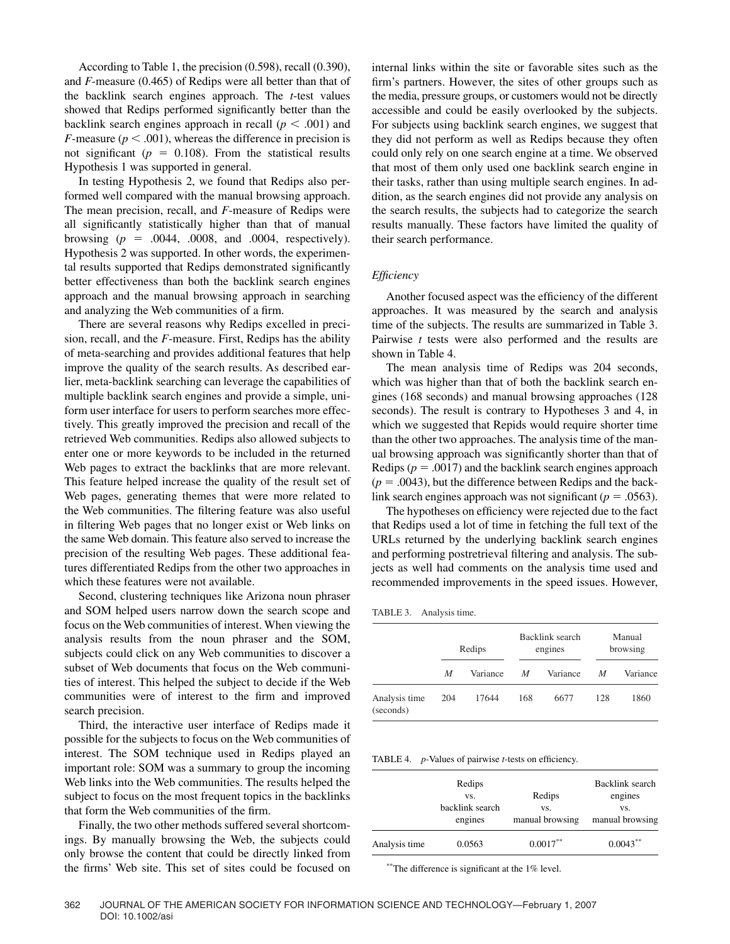According to Table 1, the precision (0.598), recall (0.390), and *F*-measure (0.465) of Redips were all better than that of the backlink search engines approach. The *t*-test values showed that Redips performed significantly better than the backlink search engines approach in recall  $(p < .001)$  and *F*-measure ( $p < .001$ ), whereas the difference in precision is not significant ( $p = 0.108$ ). From the statistical results Hypothesis 1 was supported in general.

In testing Hypothesis 2, we found that Redips also performed well compared with the manual browsing approach. The mean precision, recall, and *F*-measure of Redips were all significantly statistically higher than that of manual browsing  $(p = .0044, .0008, \text{ and } .0004, \text{ respectively}).$ Hypothesis 2 was supported. In other words, the experimental results supported that Redips demonstrated significantly better effectiveness than both the backlink search engines approach and the manual browsing approach in searching and analyzing the Web communities of a firm.

There are several reasons why Redips excelled in precision, recall, and the *F*-measure. First, Redips has the ability of meta-searching and provides additional features that help improve the quality of the search results. As described earlier, meta-backlink searching can leverage the capabilities of multiple backlink search engines and provide a simple, uniform user interface for users to perform searches more effectively. This greatly improved the precision and recall of the retrieved Web communities. Redips also allowed subjects to enter one or more keywords to be included in the returned Web pages to extract the backlinks that are more relevant. This feature helped increase the quality of the result set of Web pages, generating themes that were more related to the Web communities. The filtering feature was also useful in filtering Web pages that no longer exist or Web links on the same Web domain. This feature also served to increase the precision of the resulting Web pages. These additional features differentiated Redips from the other two approaches in which these features were not available.

Second, clustering techniques like Arizona noun phraser and SOM helped users narrow down the search scope and focus on the Web communities of interest. When viewing the analysis results from the noun phraser and the SOM, subjects could click on any Web communities to discover a subset of Web documents that focus on the Web communities of interest. This helped the subject to decide if the Web communities were of interest to the firm and improved search precision.

Third, the interactive user interface of Redips made it possible for the subjects to focus on the Web communities of interest. The SOM technique used in Redips played an important role: SOM was a summary to group the incoming Web links into the Web communities. The results helped the subject to focus on the most frequent topics in the backlinks that form the Web communities of the firm.

Finally, the two other methods suffered several shortcomings. By manually browsing the Web, the subjects could only browse the content that could be directly linked from the firms' Web site. This set of sites could be focused on internal links within the site or favorable sites such as the firm's partners. However, the sites of other groups such as the media, pressure groups, or customers would not be directly accessible and could be easily overlooked by the subjects. For subjects using backlink search engines, we suggest that they did not perform as well as Redips because they often could only rely on one search engine at a time. We observed that most of them only used one backlink search engine in their tasks, rather than using multiple search engines. In addition, as the search engines did not provide any analysis on the search results, the subjects had to categorize the search results manually. These factors have limited the quality of their search performance.

## *Efficiency*

Another focused aspect was the efficiency of the different approaches. It was measured by the search and analysis time of the subjects. The results are summarized in Table 3. Pairwise *t* tests were also performed and the results are shown in Table 4.

The mean analysis time of Redips was 204 seconds, which was higher than that of both the backlink search engines (168 seconds) and manual browsing approaches (128 seconds). The result is contrary to Hypotheses 3 and 4, in which we suggested that Repids would require shorter time than the other two approaches. The analysis time of the manual browsing approach was significantly shorter than that of Redips  $(p = .0017)$  and the backlink search engines approach  $(p = .0043)$ , but the difference between Redips and the backlink search engines approach was not significant ( $p = .0563$ ).

The hypotheses on efficiency were rejected due to the fact that Redips used a lot of time in fetching the full text of the URLs returned by the underlying backlink search engines and performing postretrieval filtering and analysis. The subjects as well had comments on the analysis time used and recommended improvements in the speed issues. However,

TABLE 3. Analysis time.

|                            | Redips |          | Backlink search<br>engines |          | Manual<br>browsing |          |
|----------------------------|--------|----------|----------------------------|----------|--------------------|----------|
|                            | M      | Variance | M                          | Variance | M                  | Variance |
| Analysis time<br>(seconds) | 204    | 17644    | 168                        | 6677     | 128                | 1860     |

TABLE 4. *p-*Values of pairwise *t*-tests on efficiency.

|               | Redips<br>VS.<br>backlink search<br>engines | Redips<br>VS.<br>manual browsing | Backlink search<br>engines<br>VS.<br>manual browsing |
|---------------|---------------------------------------------|----------------------------------|------------------------------------------------------|
| Analysis time | 0.0563                                      | $0.0017***$                      | $0.0043***$                                          |

\*\*The difference is significant at the 1% level.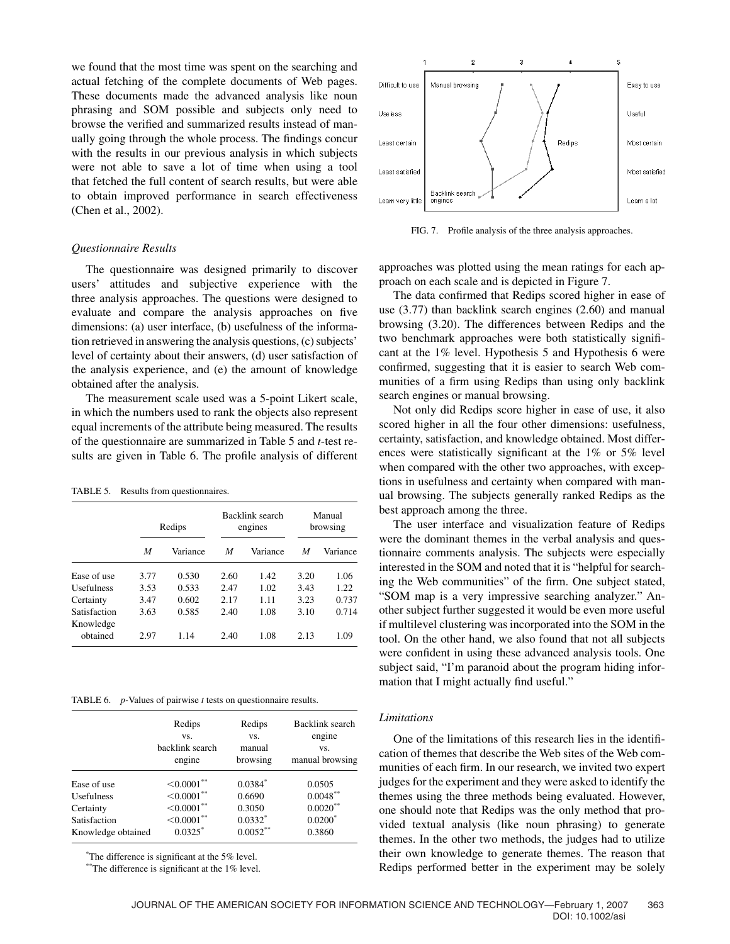we found that the most time was spent on the searching and actual fetching of the complete documents of Web pages. These documents made the advanced analysis like noun phrasing and SOM possible and subjects only need to browse the verified and summarized results instead of manually going through the whole process. The findings concur with the results in our previous analysis in which subjects were not able to save a lot of time when using a tool that fetched the full content of search results, but were able to obtain improved performance in search effectiveness (Chen et al., 2002).

## *Questionnaire Results*

The questionnaire was designed primarily to discover users' attitudes and subjective experience with the three analysis approaches. The questions were designed to evaluate and compare the analysis approaches on five dimensions: (a) user interface, (b) usefulness of the information retrieved in answering the analysis questions, (c) subjects' level of certainty about their answers, (d) user satisfaction of the analysis experience, and (e) the amount of knowledge obtained after the analysis.

The measurement scale used was a 5-point Likert scale, in which the numbers used to rank the objects also represent equal increments of the attribute being measured. The results of the questionnaire are summarized in Table 5 and *t*-test results are given in Table 6. The profile analysis of different

TABLE 5. Results from questionnaires.

|                       | Redips |          |      | Backlink search<br>engines |      | Manual<br>browsing |  |
|-----------------------|--------|----------|------|----------------------------|------|--------------------|--|
|                       | M      | Variance | M    | Variance                   | M    | Variance           |  |
| Ease of use           | 3.77   | 0.530    | 2.60 | 1.42                       | 3.20 | 1.06               |  |
| <b>Usefulness</b>     | 3.53   | 0.533    | 2.47 | 1.02                       | 3.43 | 1.22               |  |
| Certainty             | 3.47   | 0.602    | 2.17 | 1.11                       | 3.23 | 0.737              |  |
| Satisfaction          | 3.63   | 0.585    | 2.40 | 1.08                       | 3.10 | 0.714              |  |
| Knowledge<br>obtained | 2.97   | 1.14     | 2.40 | 1.08                       | 2.13 | 1.09               |  |

TABLE 6. *p-*Values of pairwise *t* tests on questionnaire results.

|                    | Redips          | Redips      | Backlink search |
|--------------------|-----------------|-------------|-----------------|
|                    | VS.             | VS.         | engine          |
|                    | backlink search | manual      | VS.             |
|                    | engine          | browsing    | manual browsing |
| Ease of use        | $< 0.0001$ **   | $0.0384*$   | 0.0505          |
| Usefulness         | $<0.0001**$     | 0.6690      | $0.0048**$      |
| Certainty          | $<0.0001**$     | 0.3050      | $0.0020**$      |
| Satisfaction       | $< 0.0001$ **   | $0.0332*$   | $0.0200*$       |
| Knowledge obtained | $0.0325*$       | $0.0052***$ | 0.3860          |

\* The difference is significant at the 5% level.

\*\*The difference is significant at the 1% level.



FIG. 7. Profile analysis of the three analysis approaches.

approaches was plotted using the mean ratings for each approach on each scale and is depicted in Figure 7.

The data confirmed that Redips scored higher in ease of use (3.77) than backlink search engines (2.60) and manual browsing (3.20). The differences between Redips and the two benchmark approaches were both statistically significant at the 1% level. Hypothesis 5 and Hypothesis 6 were confirmed, suggesting that it is easier to search Web communities of a firm using Redips than using only backlink search engines or manual browsing.

Not only did Redips score higher in ease of use, it also scored higher in all the four other dimensions: usefulness, certainty, satisfaction, and knowledge obtained. Most differences were statistically significant at the 1% or 5% level when compared with the other two approaches, with exceptions in usefulness and certainty when compared with manual browsing. The subjects generally ranked Redips as the best approach among the three.

The user interface and visualization feature of Redips were the dominant themes in the verbal analysis and questionnaire comments analysis. The subjects were especially interested in the SOM and noted that it is "helpful for searching the Web communities" of the firm. One subject stated, "SOM map is a very impressive searching analyzer." Another subject further suggested it would be even more useful if multilevel clustering was incorporated into the SOM in the tool. On the other hand, we also found that not all subjects were confident in using these advanced analysis tools. One subject said, "I'm paranoid about the program hiding information that I might actually find useful."

#### *Limitations*

One of the limitations of this research lies in the identification of themes that describe the Web sites of the Web communities of each firm. In our research, we invited two expert judges for the experiment and they were asked to identify the themes using the three methods being evaluated. However, one should note that Redips was the only method that provided textual analysis (like noun phrasing) to generate themes. In the other two methods, the judges had to utilize their own knowledge to generate themes. The reason that Redips performed better in the experiment may be solely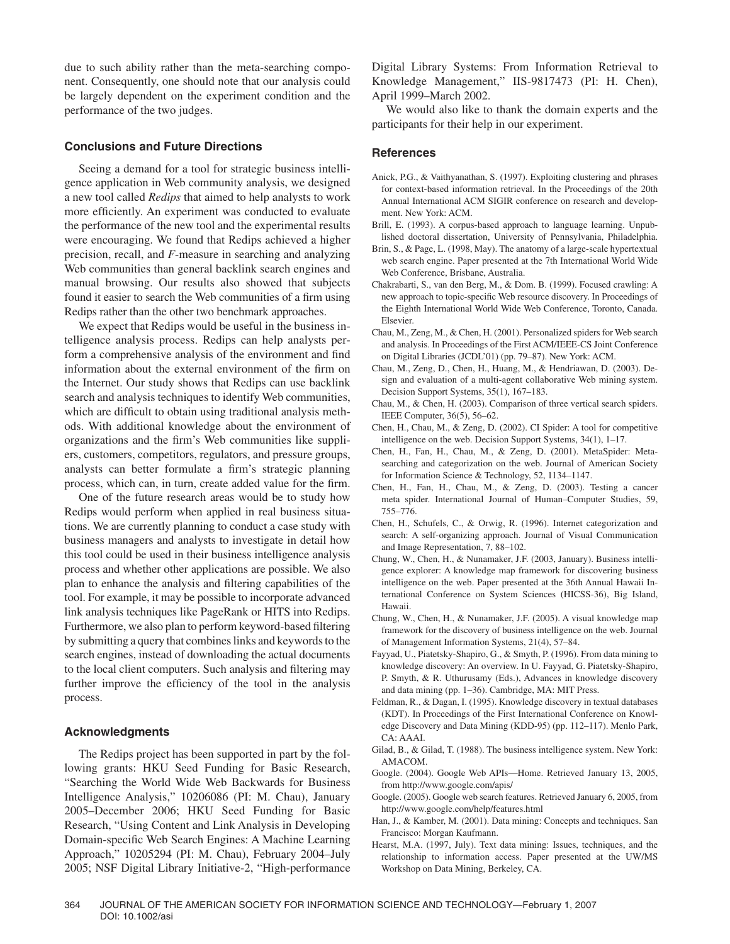due to such ability rather than the meta-searching component. Consequently, one should note that our analysis could be largely dependent on the experiment condition and the performance of the two judges.

## **Conclusions and Future Directions**

Seeing a demand for a tool for strategic business intelligence application in Web community analysis, we designed a new tool called *Redips* that aimed to help analysts to work more efficiently. An experiment was conducted to evaluate the performance of the new tool and the experimental results were encouraging. We found that Redips achieved a higher precision, recall, and *F*-measure in searching and analyzing Web communities than general backlink search engines and manual browsing. Our results also showed that subjects found it easier to search the Web communities of a firm using Redips rather than the other two benchmark approaches.

We expect that Redips would be useful in the business intelligence analysis process. Redips can help analysts perform a comprehensive analysis of the environment and find information about the external environment of the firm on the Internet. Our study shows that Redips can use backlink search and analysis techniques to identify Web communities, which are difficult to obtain using traditional analysis methods. With additional knowledge about the environment of organizations and the firm's Web communities like suppliers, customers, competitors, regulators, and pressure groups, analysts can better formulate a firm's strategic planning process, which can, in turn, create added value for the firm.

One of the future research areas would be to study how Redips would perform when applied in real business situations. We are currently planning to conduct a case study with business managers and analysts to investigate in detail how this tool could be used in their business intelligence analysis process and whether other applications are possible. We also plan to enhance the analysis and filtering capabilities of the tool. For example, it may be possible to incorporate advanced link analysis techniques like PageRank or HITS into Redips. Furthermore, we also plan to perform keyword-based filtering by submitting a query that combines links and keywords to the search engines, instead of downloading the actual documents to the local client computers. Such analysis and filtering may further improve the efficiency of the tool in the analysis process.

#### **Acknowledgments**

The Redips project has been supported in part by the following grants: HKU Seed Funding for Basic Research, "Searching the World Wide Web Backwards for Business Intelligence Analysis," 10206086 (PI: M. Chau), January 2005–December 2006; HKU Seed Funding for Basic Research, "Using Content and Link Analysis in Developing Domain-specific Web Search Engines: A Machine Learning Approach," 10205294 (PI: M. Chau), February 2004–July 2005; NSF Digital Library Initiative-2, "High-performance Digital Library Systems: From Information Retrieval to Knowledge Management," IIS-9817473 (PI: H. Chen), April 1999–March 2002.

We would also like to thank the domain experts and the participants for their help in our experiment.

#### **References**

- Anick, P.G., & Vaithyanathan, S. (1997). Exploiting clustering and phrases for context-based information retrieval. In the Proceedings of the 20th Annual International ACM SIGIR conference on research and development. New York: ACM.
- Brill, E. (1993). A corpus-based approach to language learning. Unpublished doctoral dissertation, University of Pennsylvania, Philadelphia.
- Brin, S., & Page, L. (1998, May). The anatomy of a large-scale hypertextual web search engine. Paper presented at the 7th International World Wide Web Conference, Brisbane, Australia.
- Chakrabarti, S., van den Berg, M., & Dom. B. (1999). Focused crawling: A new approach to topic-specific Web resource discovery. In Proceedings of the Eighth International World Wide Web Conference, Toronto, Canada. Elsevier.
- Chau, M., Zeng, M., & Chen, H. (2001). Personalized spiders for Web search and analysis. In Proceedings of the First ACM/IEEE-CS Joint Conference on Digital Libraries (JCDL'01) (pp. 79–87). New York: ACM.
- Chau, M., Zeng, D., Chen, H., Huang, M., & Hendriawan, D. (2003). Design and evaluation of a multi-agent collaborative Web mining system. Decision Support Systems, 35(1), 167–183.
- Chau, M., & Chen, H. (2003). Comparison of three vertical search spiders. IEEE Computer, 36(5), 56–62.
- Chen, H., Chau, M., & Zeng, D. (2002). CI Spider: A tool for competitive intelligence on the web. Decision Support Systems, 34(1), 1–17.
- Chen, H., Fan, H., Chau, M., & Zeng, D. (2001). MetaSpider: Metasearching and categorization on the web. Journal of American Society for Information Science & Technology, 52, 1134–1147.
- Chen, H., Fan, H., Chau, M., & Zeng, D. (2003). Testing a cancer meta spider. International Journal of Human–Computer Studies, 59, 755–776.
- Chen, H., Schufels, C., & Orwig, R. (1996). Internet categorization and search: A self-organizing approach. Journal of Visual Communication and Image Representation, 7, 88–102.
- Chung, W., Chen, H., & Nunamaker, J.F. (2003, January). Business intelligence explorer: A knowledge map framework for discovering business intelligence on the web. Paper presented at the 36th Annual Hawaii International Conference on System Sciences (HICSS-36), Big Island, Hawaii.
- Chung, W., Chen, H., & Nunamaker, J.F. (2005). A visual knowledge map framework for the discovery of business intelligence on the web. Journal of Management Information Systems, 21(4), 57–84.
- Fayyad, U., Piatetsky-Shapiro, G., & Smyth, P. (1996). From data mining to knowledge discovery: An overview. In U. Fayyad, G. Piatetsky-Shapiro, P. Smyth, & R. Uthurusamy (Eds.), Advances in knowledge discovery and data mining (pp. 1–36). Cambridge, MA: MIT Press.
- Feldman, R., & Dagan, I. (1995). Knowledge discovery in textual databases (KDT). In Proceedings of the First International Conference on Knowledge Discovery and Data Mining (KDD-95) (pp. 112–117). Menlo Park, CA: AAAI.
- Gilad, B., & Gilad, T. (1988). The business intelligence system. New York: AMACOM.
- Google. (2004). Google Web APIs—Home. Retrieved January 13, 2005, from http://www.google.com/apis/
- Google. (2005). Google web search features. Retrieved January 6, 2005, from http://www.google.com/help/features.html
- Han, J., & Kamber, M. (2001). Data mining: Concepts and techniques. San Francisco: Morgan Kaufmann.
- Hearst, M.A. (1997, July). Text data mining: Issues, techniques, and the relationship to information access. Paper presented at the UW/MS Workshop on Data Mining, Berkeley, CA.